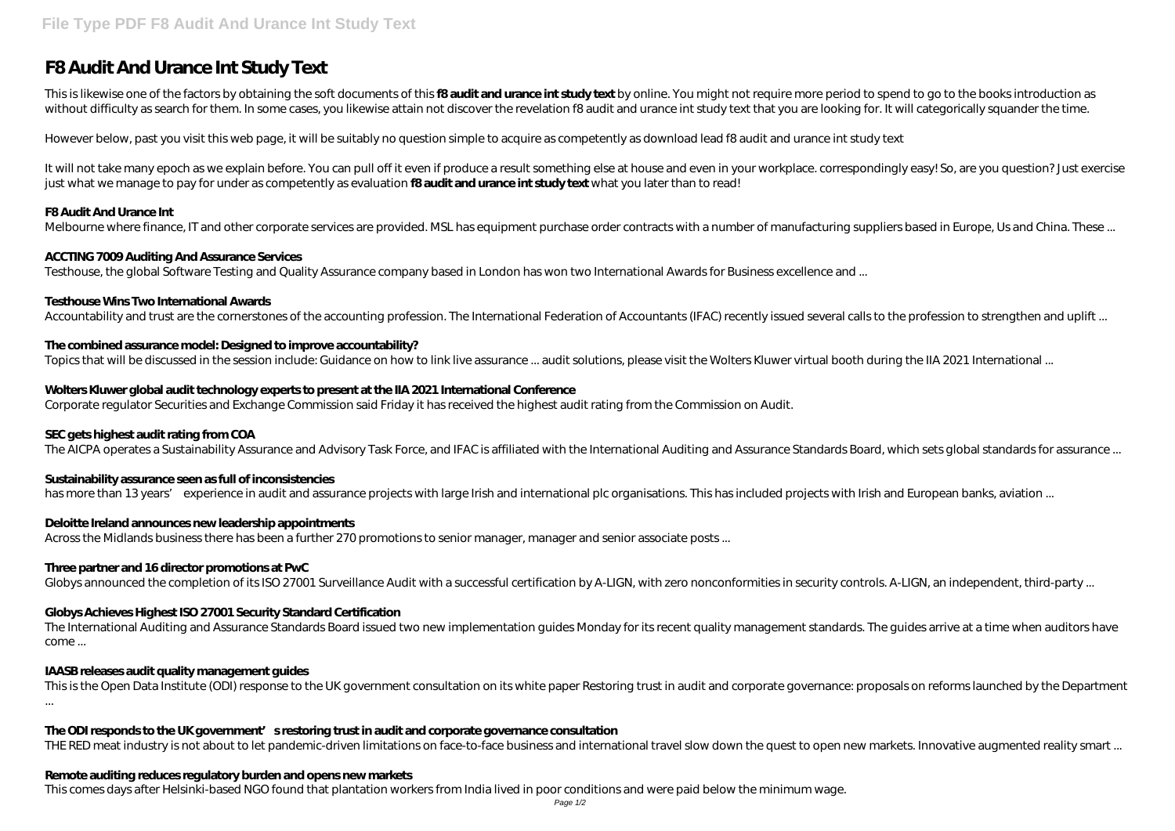This is likewise one of the factors by obtaining the soft documents of this **f8 audit and urance int study text** by online. You might not require more period to spend to go to the books introduction as without difficulty as search for them. In some cases, you likewise attain not discover the revelation f8 audit and urance int study text that you are looking for. It will categorically squander the time.

# **F8 Audit And Urance Int Study Text**

However below, past you visit this web page, it will be suitably no question simple to acquire as competently as download lead f8 audit and urance int study text

It will not take many epoch as we explain before. You can pull off it even if produce a result something else at house and even in your workplace. correspondingly easy! So, are you question? Just exercise just what we manage to pay for under as competently as evaluation **f8 audit and urance int study text** what you later than to read!

# **F8 Audit And Urance Int**

Melbourne where finance, IT and other corporate services are provided. MSL has equipment purchase order contracts with a number of manufacturing suppliers based in Europe, Us and China. These ...

# **ACCTING 7009 Auditing And Assurance Services**

Testhouse, the global Software Testing and Quality Assurance company based in London has won two International Awards for Business excellence and ...

# **Testhouse Wins Two International Awards**

Accountability and trust are the cornerstones of the accounting profession. The International Federation of Accountants (IFAC) recently issued several calls to the profession to strengthen and uplift ...

The International Auditing and Assurance Standards Board issued two new implementation quides Monday for its recent quality management standards. The quides arrive at a time when auditors have come ...

# **The combined assurance model: Designed to improve accountability?**

Topics that will be discussed in the session include: Guidance on how to link live assurance ... audit solutions, please visit the Wolters Kluwer virtual booth during the IIA 2021 International ...

# **Wolters Kluwer global audit technology experts to present at the IIA 2021 International Conference**

Corporate regulator Securities and Exchange Commission said Friday it has received the highest audit rating from the Commission on Audit.

## **SEC gets highest audit rating from COA**

The AICPA operates a Sustainability Assurance and Advisory Task Force, and IFAC is affiliated with the International Auditing and Assurance Standards Board, which sets global standards for assurance ...

# **Sustainability assurance seen as full of inconsistencies**

has more than 13 years' experience in audit and assurance projects with large Irish and international plc organisations. This has included projects with Irish and European banks, aviation ...

## **Deloitte Ireland announces new leadership appointments**

Across the Midlands business there has been a further 270 promotions to senior manager, manager and senior associate posts ...

# **Three partner and 16 director promotions at PwC**

Globys announced the completion of its ISO 27001 Surveillance Audit with a successful certification by A-LIGN, with zero nonconformities in security controls. A-LIGN, an independent, third-party ...

# **Globys Achieves Highest ISO 27001 Security Standard Certification**

# **IAASB releases audit quality management guides**

This is the Open Data Institute (ODI) response to the UK government consultation on its white paper Restoring trust in audit and corporate governance: proposals on reforms launched by the Department ...

## **The ODI responds to the UK government's restoring trust in audit and corporate governance consultation**

THE RED meat industry is not about to let pandemic-driven limitations on face-to-face business and international travel slow down the quest to open new markets. Innovative augmented reality smart ...

## **Remote auditing reduces regulatory burden and opens new markets**

This comes days after Helsinki-based NGO found that plantation workers from India lived in poor conditions and were paid below the minimum wage.